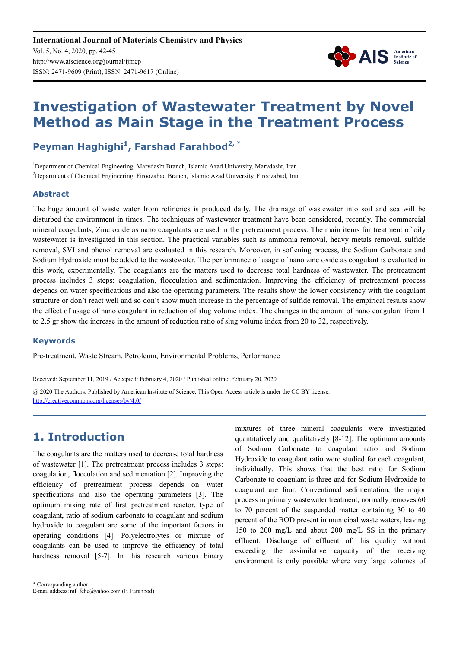

# **Investigation of Wastewater Treatment by Novel Method as Main Stage in the Treatment Process**

# **Peyman Haghighi<sup>1</sup> , Farshad Farahbod2, \***

<sup>1</sup>Department of Chemical Engineering, Marvdasht Branch, Islamic Azad University, Marvdasht, Iran <sup>2</sup>Department of Chemical Engineering, Firoozabad Branch, Islamic Azad University, Firoozabad, Iran

#### **Abstract**

The huge amount of waste water from refineries is produced daily. The drainage of wastewater into soil and sea will be disturbed the environment in times. The techniques of wastewater treatment have been considered, recently. The commercial mineral coagulants, Zinc oxide as nano coagulants are used in the pretreatment process. The main items for treatment of oily wastewater is investigated in this section. The practical variables such as ammonia removal, heavy metals removal, sulfide removal, SVI and phenol removal are evaluated in this research. Moreover, in softening process, the Sodium Carbonate and Sodium Hydroxide must be added to the wastewater. The performance of usage of nano zinc oxide as coagulant is evaluated in this work, experimentally. The coagulants are the matters used to decrease total hardness of wastewater. The pretreatment process includes 3 steps: coagulation, flocculation and sedimentation. Improving the efficiency of pretreatment process depends on water specifications and also the operating parameters. The results show the lower consistency with the coagulant structure or don't react well and so don't show much increase in the percentage of sulfide removal. The empirical results show the effect of usage of nano coagulant in reduction of slug volume index. The changes in the amount of nano coagulant from 1 to 2.5 gr show the increase in the amount of reduction ratio of slug volume index from 20 to 32, respectively.

#### **Keywords**

Pre-treatment, Waste Stream, Petroleum, Environmental Problems, Performance

Received: September 11, 2019 / Accepted: February 4, 2020 / Published online: February 20, 2020 @ 2020 The Authors. Published by American Institute of Science. This Open Access article is under the CC BY license. http://creativecommons.org/licenses/by/4.0/

# **1. Introduction**

The coagulants are the matters used to decrease total hardness of wastewater [1]. The pretreatment process includes 3 steps: coagulation, flocculation and sedimentation [2]. Improving the efficiency of pretreatment process depends on water specifications and also the operating parameters [3]. The optimum mixing rate of first pretreatment reactor, type of coagulant, ratio of sodium carbonate to coagulant and sodium hydroxide to coagulant are some of the important factors in operating conditions [4]. Polyelectrolytes or mixture of coagulants can be used to improve the efficiency of total hardness removal [5-7]. In this research various binary

mixtures of three mineral coagulants were investigated quantitatively and qualitatively [8-12]. The optimum amounts of Sodium Carbonate to coagulant ratio and Sodium Hydroxide to coagulant ratio were studied for each coagulant, individually. This shows that the best ratio for Sodium Carbonate to coagulant is three and for Sodium Hydroxide to coagulant are four. Conventional sedimentation, the major process in primary wastewater treatment, normally removes 60 to 70 percent of the suspended matter containing 30 to 40 percent of the BOD present in municipal waste waters, leaving 150 to 200 mg/L and about 200 mg/L SS in the primary effluent. Discharge of effluent of this quality without exceeding the assimilative capacity of the receiving environment is only possible where very large volumes of

\* Corresponding author

E-mail address: mf\_fche@yahoo.com (F. Farahbod)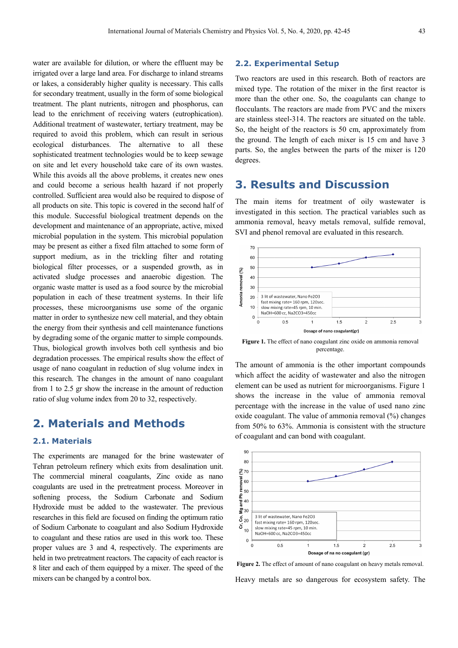water are available for dilution, or where the effluent may be irrigated over a large land area. For discharge to inland streams or lakes, a considerably higher quality is necessary. This calls for secondary treatment, usually in the form of some biological treatment. The plant nutrients, nitrogen and phosphorus, can lead to the enrichment of receiving waters (eutrophication). Additional treatment of wastewater, tertiary treatment, may be required to avoid this problem, which can result in serious ecological disturbances. The alternative to all these sophisticated treatment technologies would be to keep sewage on site and let every household take care of its own wastes. While this avoids all the above problems, it creates new ones and could become a serious health hazard if not properly controlled. Sufficient area would also be required to dispose of all products on site. This topic is covered in the second half of this module. Successful biological treatment depends on the development and maintenance of an appropriate, active, mixed microbial population in the system. This microbial population may be present as either a fixed film attached to some form of support medium, as in the trickling filter and rotating biological filter processes, or a suspended growth, as in activated sludge processes and anaerobic digestion. The organic waste matter is used as a food source by the microbial population in each of these treatment systems. In their life processes, these microorganisms use some of the organic matter in order to synthesize new cell material, and they obtain the energy from their synthesis and cell maintenance functions by degrading some of the organic matter to simple compounds. Thus, biological growth involves both cell synthesis and bio degradation processes. The empirical results show the effect of usage of nano coagulant in reduction of slug volume index in this research. The changes in the amount of nano coagulant from 1 to 2.5 gr show the increase in the amount of reduction ratio of slug volume index from 20 to 32, respectively.

# **2. Materials and Methods**

#### **2.1. Materials**

The experiments are managed for the brine wastewater of Tehran petroleum refinery which exits from desalination unit. The commercial mineral coagulants, Zinc oxide as nano coagulants are used in the pretreatment process. Moreover in softening process, the Sodium Carbonate and Sodium Hydroxide must be added to the wastewater. The previous researches in this field are focused on finding the optimum ratio of Sodium Carbonate to coagulant and also Sodium Hydroxide to coagulant and these ratios are used in this work too. These proper values are 3 and 4, respectively. The experiments are held in two pretreatment reactors. The capacity of each reactor is 8 liter and each of them equipped by a mixer. The speed of the mixers can be changed by a control box.

#### **2.2. Experimental Setup**

Two reactors are used in this research. Both of reactors are mixed type. The rotation of the mixer in the first reactor is more than the other one. So, the coagulants can change to flocculants. The reactors are made from PVC and the mixers are stainless steel-314. The reactors are situated on the table. So, the height of the reactors is 50 cm, approximately from the ground. The length of each mixer is 15 cm and have 3 parts. So, the angles between the parts of the mixer is 120 degrees.

# **3. Results and Discussion**

The main items for treatment of oily wastewater is investigated in this section. The practical variables such as ammonia removal, heavy metals removal, sulfide removal, SVI and phenol removal are evaluated in this research.



Figure 1. The effect of nano coagulant zinc oxide on ammonia removal percentage.

The amount of ammonia is the other important compounds which affect the acidity of wastewater and also the nitrogen element can be used as nutrient for microorganisms. Figure 1 shows the increase in the value of ammonia removal percentage with the increase in the value of used nano zinc oxide coagulant. The value of ammonia removal (%) changes from 50% to 63%. Ammonia is consistent with the structure of coagulant and can bond with coagulant.



Figure 2. The effect of amount of nano coagulant on heavy metals removal. Heavy metals are so dangerous for ecosystem safety. The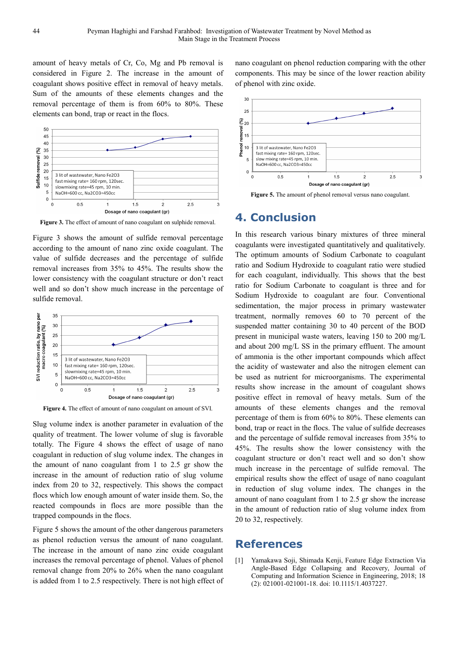amount of heavy metals of Cr, Co, Mg and Pb removal is considered in Figure 2. The increase in the amount of coagulant shows positive effect in removal of heavy metals. Sum of the amounts of these elements changes and the removal percentage of them is from 60% to 80%. These elements can bond, trap or react in the flocs.



**Figure 3.** The effect of amount of nano coagulant on sulphide removal.

Figure 3 shows the amount of sulfide removal percentage according to the amount of nano zinc oxide coagulant. The value of sulfide decreases and the percentage of sulfide removal increases from 35% to 45%. The results show the lower consistency with the coagulant structure or don't react well and so don't show much increase in the percentage of sulfide removal.



**Figure 4.** The effect of amount of nano coagulant on amount of SVI.

Slug volume index is another parameter in evaluation of the quality of treatment. The lower volume of slug is favorable totally. The Figure 4 shows the effect of usage of nano coagulant in reduction of slug volume index. The changes in the amount of nano coagulant from 1 to 2.5 gr show the increase in the amount of reduction ratio of slug volume index from 20 to 32, respectively. This shows the compact flocs which low enough amount of water inside them. So, the reacted compounds in flocs are more possible than the trapped compounds in the flocs.

Figure 5 shows the amount of the other dangerous parameters as phenol reduction versus the amount of nano coagulant. The increase in the amount of nano zinc oxide coagulant increases the removal percentage of phenol. Values of phenol removal change from 20% to 26% when the nano coagulant is added from 1 to 2.5 respectively. There is not high effect of nano coagulant on phenol reduction comparing with the other components. This may be since of the lower reaction ability of phenol with zinc oxide.



**Figure 5.** The amount of phenol removal versus nano coagulant.

### **4. Conclusion**

In this research various binary mixtures of three mineral coagulants were investigated quantitatively and qualitatively. The optimum amounts of Sodium Carbonate to coagulant ratio and Sodium Hydroxide to coagulant ratio were studied for each coagulant, individually. This shows that the best ratio for Sodium Carbonate to coagulant is three and for Sodium Hydroxide to coagulant are four. Conventional sedimentation, the major process in primary wastewater treatment, normally removes 60 to 70 percent of the suspended matter containing 30 to 40 percent of the BOD present in municipal waste waters, leaving 150 to 200 mg/L and about 200 mg/L SS in the primary effluent. The amount of ammonia is the other important compounds which affect the acidity of wastewater and also the nitrogen element can be used as nutrient for microorganisms. The experimental results show increase in the amount of coagulant shows positive effect in removal of heavy metals. Sum of the amounts of these elements changes and the removal percentage of them is from 60% to 80%. These elements can bond, trap or react in the flocs. The value of sulfide decreases and the percentage of sulfide removal increases from 35% to 45%. The results show the lower consistency with the coagulant structure or don't react well and so don't show much increase in the percentage of sulfide removal. The empirical results show the effect of usage of nano coagulant in reduction of slug volume index. The changes in the amount of nano coagulant from 1 to 2.5 gr show the increase in the amount of reduction ratio of slug volume index from 20 to 32, respectively.

### **References**

[1] Yamakawa Soji, Shimada Kenji, Feature Edge Extraction Via Angle-Based Edge Collapsing and Recovery, Journal of Computing and Information Science in Engineering, 2018; 18 (2): 021001-021001-18. doi: 10.1115/1.4037227.